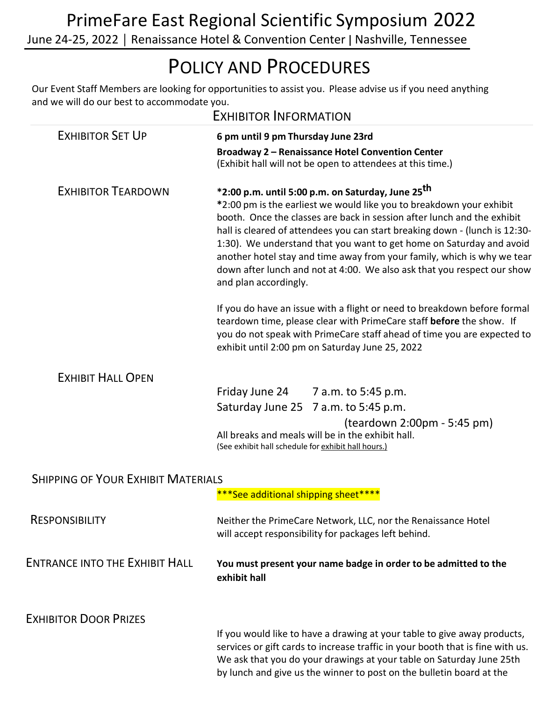## POLICY AND PROCEDURES

Our Event Staff Members are looking for opportunities to assist you. Please advise us if you need anything and we will do our best to accommodate you.

| <b>EXHIBITOR INFORMATION</b>              |                                                                                                                                                                                                                                                                                                                                                                                                                                                                                                                                                        |
|-------------------------------------------|--------------------------------------------------------------------------------------------------------------------------------------------------------------------------------------------------------------------------------------------------------------------------------------------------------------------------------------------------------------------------------------------------------------------------------------------------------------------------------------------------------------------------------------------------------|
| <b>EXHIBITOR SET UP</b>                   | 6 pm until 9 pm Thursday June 23rd<br>Broadway 2 - Renaissance Hotel Convention Center<br>(Exhibit hall will not be open to attendees at this time.)                                                                                                                                                                                                                                                                                                                                                                                                   |
| <b>EXHIBITOR TEARDOWN</b>                 | *2:00 p.m. until 5:00 p.m. on Saturday, June 25 <sup>th</sup><br>*2:00 pm is the earliest we would like you to breakdown your exhibit<br>booth. Once the classes are back in session after lunch and the exhibit<br>hall is cleared of attendees you can start breaking down - (lunch is 12:30-<br>1:30). We understand that you want to get home on Saturday and avoid<br>another hotel stay and time away from your family, which is why we tear<br>down after lunch and not at 4:00. We also ask that you respect our show<br>and plan accordingly. |
|                                           | If you do have an issue with a flight or need to breakdown before formal<br>teardown time, please clear with PrimeCare staff before the show. If<br>you do not speak with PrimeCare staff ahead of time you are expected to<br>exhibit until 2:00 pm on Saturday June 25, 2022                                                                                                                                                                                                                                                                         |
| <b>EXHIBIT HALL OPEN</b>                  |                                                                                                                                                                                                                                                                                                                                                                                                                                                                                                                                                        |
|                                           | Friday June 24<br>7 a.m. to 5:45 p.m.                                                                                                                                                                                                                                                                                                                                                                                                                                                                                                                  |
|                                           | Saturday June 25<br>7 a.m. to 5:45 p.m.                                                                                                                                                                                                                                                                                                                                                                                                                                                                                                                |
|                                           | (teardown 2:00pm - 5:45 pm)<br>All breaks and meals will be in the exhibit hall.<br>(See exhibit hall schedule for exhibit hall hours.)                                                                                                                                                                                                                                                                                                                                                                                                                |
| <b>SHIPPING OF YOUR EXHIBIT MATERIALS</b> |                                                                                                                                                                                                                                                                                                                                                                                                                                                                                                                                                        |
|                                           | ***See additional shipping sheet****                                                                                                                                                                                                                                                                                                                                                                                                                                                                                                                   |
| <b>RESPONSIBILITY</b>                     | Neither the PrimeCare Network, LLC, nor the Renaissance Hotel<br>will accept responsibility for packages left behind.                                                                                                                                                                                                                                                                                                                                                                                                                                  |
| <b>ENTRANCE INTO THE EXHIBIT HALL</b>     | You must present your name badge in order to be admitted to the<br>exhibit hall                                                                                                                                                                                                                                                                                                                                                                                                                                                                        |
| <b>EXHIBITOR DOOR PRIZES</b>              |                                                                                                                                                                                                                                                                                                                                                                                                                                                                                                                                                        |
|                                           | If you would like to have a drawing at your table to give away products,<br>services or gift cards to increase traffic in your booth that is fine with us.<br>We ask that you do your drawings at your table on Saturday June 25th<br>by lunch and give us the winner to post on the bulletin board at the                                                                                                                                                                                                                                             |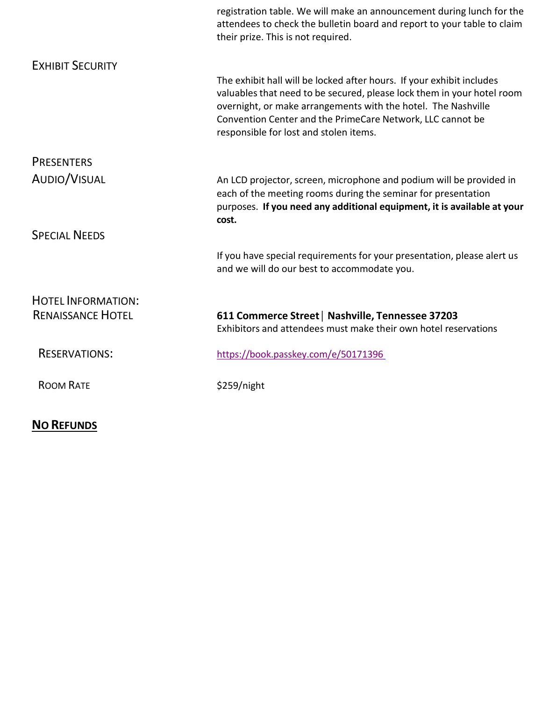|                           | registration table. We will make an announcement during lunch for the<br>attendees to check the bulletin board and report to your table to claim<br>their prize. This is not required.                                                                                                                                   |
|---------------------------|--------------------------------------------------------------------------------------------------------------------------------------------------------------------------------------------------------------------------------------------------------------------------------------------------------------------------|
| <b>EXHIBIT SECURITY</b>   |                                                                                                                                                                                                                                                                                                                          |
|                           | The exhibit hall will be locked after hours. If your exhibit includes<br>valuables that need to be secured, please lock them in your hotel room<br>overnight, or make arrangements with the hotel. The Nashville<br>Convention Center and the PrimeCare Network, LLC cannot be<br>responsible for lost and stolen items. |
| <b>PRESENTERS</b>         |                                                                                                                                                                                                                                                                                                                          |
| AUDIO/VISUAL              | An LCD projector, screen, microphone and podium will be provided in<br>each of the meeting rooms during the seminar for presentation<br>purposes. If you need any additional equipment, it is available at your<br>cost.                                                                                                 |
| <b>SPECIAL NEEDS</b>      |                                                                                                                                                                                                                                                                                                                          |
|                           | If you have special requirements for your presentation, please alert us<br>and we will do our best to accommodate you.                                                                                                                                                                                                   |
| <b>HOTEL INFORMATION:</b> |                                                                                                                                                                                                                                                                                                                          |
| <b>RENAISSANCE HOTEL</b>  | 611 Commerce Street   Nashville, Tennessee 37203<br>Exhibitors and attendees must make their own hotel reservations                                                                                                                                                                                                      |
| <b>RESERVATIONS:</b>      | https://book.passkey.com/e/50171396                                                                                                                                                                                                                                                                                      |
| <b>ROOM RATE</b>          | \$259/night                                                                                                                                                                                                                                                                                                              |

## **NO REFUNDS**